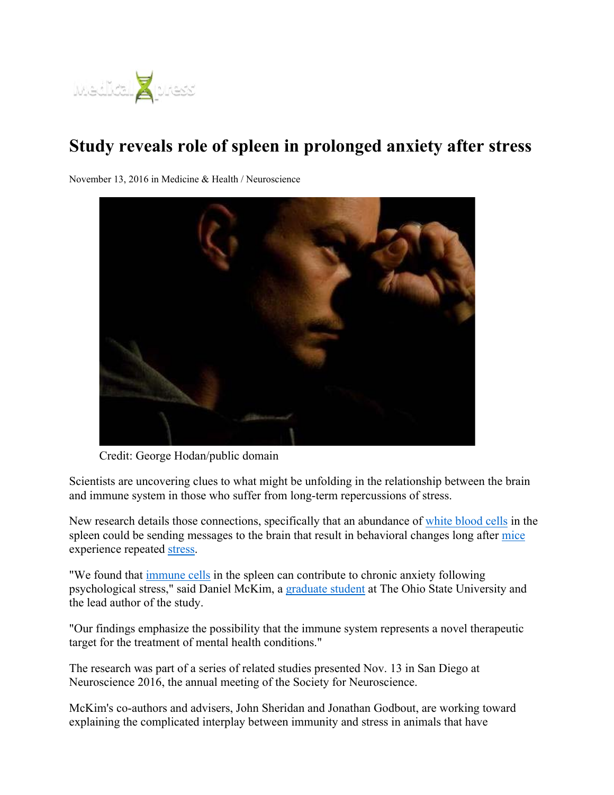

## **Study reveals role of spleen in prolonged anxiety after stress**

November 13, 2016 in Medicine & Health / Neuroscience



Credit: George Hodan/public domain

Scientists are uncovering clues to what might be unfolding in the relationship between the brain and immune system in those who suffer from long-term repercussions of stress.

New research details those connections, specifically that an abundance of white blood cells in the spleen could be sending messages to the brain that result in behavioral changes long after mice experience repeated stress.

"We found that immune cells in the spleen can contribute to chronic anxiety following psychological stress," said Daniel McKim, a graduate student at The Ohio State University and the lead author of the study.

"Our findings emphasize the possibility that the immune system represents a novel therapeutic target for the treatment of mental health conditions."

The research was part of a series of related studies presented Nov. 13 in San Diego at Neuroscience 2016, the annual meeting of the Society for Neuroscience.

McKim's co-authors and advisers, John Sheridan and Jonathan Godbout, are working toward explaining the complicated interplay between immunity and stress in animals that have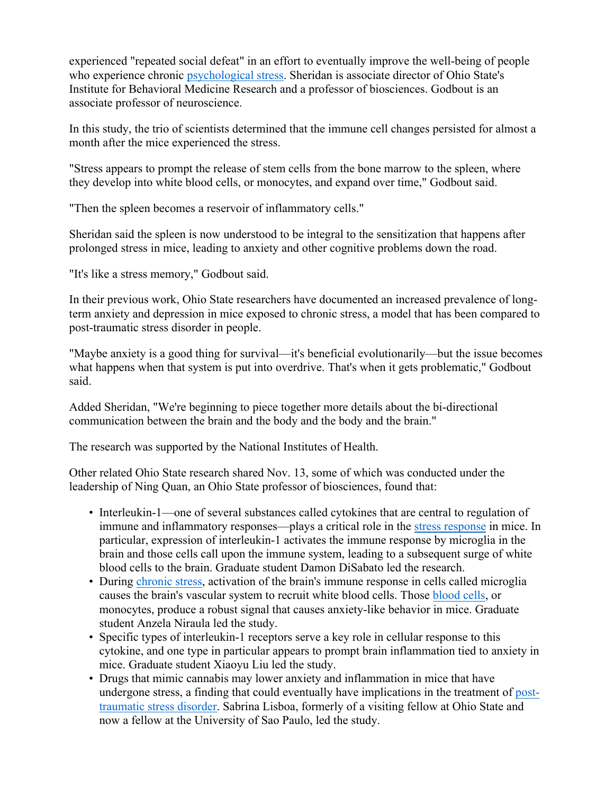experienced "repeated social defeat" in an effort to eventually improve the well-being of people who experience chronic psychological stress. Sheridan is associate director of Ohio State's Institute for Behavioral Medicine Research and a professor of biosciences. Godbout is an associate professor of neuroscience.

In this study, the trio of scientists determined that the immune cell changes persisted for almost a month after the mice experienced the stress.

"Stress appears to prompt the release of stem cells from the bone marrow to the spleen, where they develop into white blood cells, or monocytes, and expand over time," Godbout said.

"Then the spleen becomes a reservoir of inflammatory cells."

Sheridan said the spleen is now understood to be integral to the sensitization that happens after prolonged stress in mice, leading to anxiety and other cognitive problems down the road.

"It's like a stress memory," Godbout said.

In their previous work, Ohio State researchers have documented an increased prevalence of longterm anxiety and depression in mice exposed to chronic stress, a model that has been compared to post-traumatic stress disorder in people.

"Maybe anxiety is a good thing for survival—it's beneficial evolutionarily—but the issue becomes what happens when that system is put into overdrive. That's when it gets problematic," Godbout said.

Added Sheridan, "We're beginning to piece together more details about the bi-directional communication between the brain and the body and the body and the brain."

The research was supported by the National Institutes of Health.

Other related Ohio State research shared Nov. 13, some of which was conducted under the leadership of Ning Quan, an Ohio State professor of biosciences, found that:

- Interleukin-1—one of several substances called cytokines that are central to regulation of immune and inflammatory responses—plays a critical role in the stress response in mice. In particular, expression of interleukin-1 activates the immune response by microglia in the brain and those cells call upon the immune system, leading to a subsequent surge of white blood cells to the brain. Graduate student Damon DiSabato led the research.
- During chronic stress, activation of the brain's immune response in cells called microglia causes the brain's vascular system to recruit white blood cells. Those blood cells, or monocytes, produce a robust signal that causes anxiety-like behavior in mice. Graduate student Anzela Niraula led the study.
- Specific types of interleukin-1 receptors serve a key role in cellular response to this cytokine, and one type in particular appears to prompt brain inflammation tied to anxiety in mice. Graduate student Xiaoyu Liu led the study.
- Drugs that mimic cannabis may lower anxiety and inflammation in mice that have undergone stress, a finding that could eventually have implications in the treatment of posttraumatic stress disorder. Sabrina Lisboa, formerly of a visiting fellow at Ohio State and now a fellow at the University of Sao Paulo, led the study.